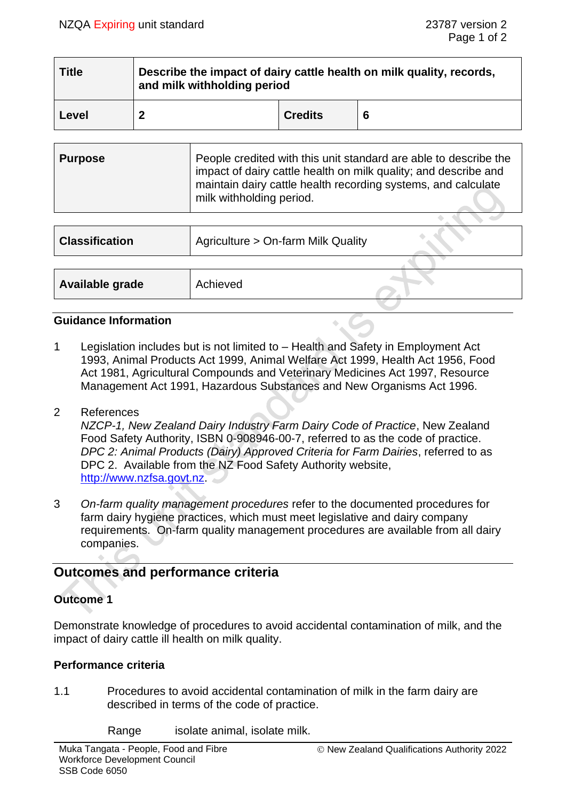| <b>Title</b> | Describe the impact of dairy cattle health on milk quality, records,<br>and milk withholding period |                |   |
|--------------|-----------------------------------------------------------------------------------------------------|----------------|---|
| Level        |                                                                                                     | <b>Credits</b> | 6 |

| <b>Purpose</b> | People credited with this unit standard are able to describe the<br>impact of dairy cattle health on milk quality; and describe and<br>maintain dairy cattle health recording systems, and calculate<br>milk withholding period. |
|----------------|----------------------------------------------------------------------------------------------------------------------------------------------------------------------------------------------------------------------------------|
|                |                                                                                                                                                                                                                                  |

| <b>Classification</b> | Agriculture > On-farm Milk Quality |  |
|-----------------------|------------------------------------|--|
|                       |                                    |  |
| Available grade       | Achieved                           |  |

## **Guidance Information**

- 1 Legislation includes but is not limited to Health and Safety in Employment Act 1993, Animal Products Act 1999, Animal Welfare Act 1999, Health Act 1956, Food Act 1981, Agricultural Compounds and Veterinary Medicines Act 1997, Resource Management Act 1991, Hazardous Substances and New Organisms Act 1996.
- 2 References

*NZCP-1, New Zealand Dairy Industry Farm Dairy Code of Practice*, New Zealand Food Safety Authority, ISBN 0-908946-00-7, referred to as the code of practice. *DPC 2: Animal Products (Dairy) Approved Criteria for Farm Dairies*, referred to as DPC 2. Available from the NZ Food Safety Authority website, [http://www.nzfsa.govt.nz.](http://www.nzfsa.govt.nz/)

3 *On-farm quality management procedures* refer to the documented procedures for farm dairy hygiene practices, which must meet legislative and dairy company requirements. On-farm quality management procedures are available from all dairy companies.

# **Outcomes and performance criteria**

## **Outcome 1**

 $\Delta\omega$ 

Demonstrate knowledge of procedures to avoid accidental contamination of milk, and the impact of dairy cattle ill health on milk quality.

## **Performance criteria**

- 1.1 Procedures to avoid accidental contamination of milk in the farm dairy are described in terms of the code of practice.
	- Range isolate animal, isolate milk.